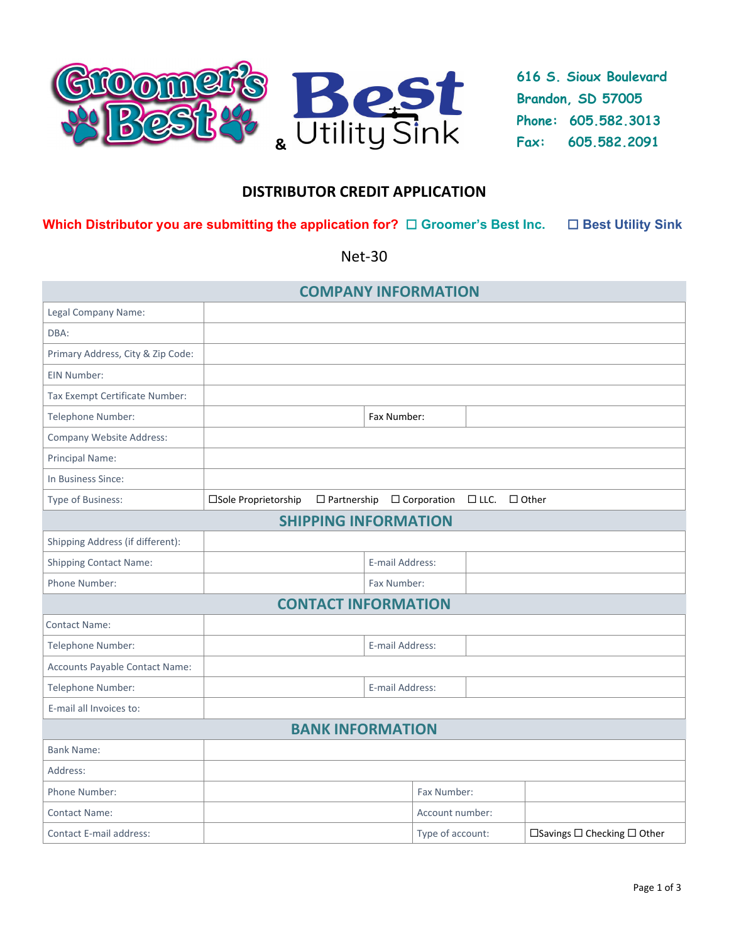

**616 S. Sioux Boulevard Brandon, SD 57005 Phone: 605.582.3013 Fax: 605.582.2091** 

# **DISTRIBUTOR CREDIT APPLICATION**

### **Which Distributor you are submitting the application for? □ Groomer's Best Inc. □ Best Utility Sink**

Net‐30

| <b>COMPANY INFORMATION</b>        |                      |                                       |                 |                  |                |                                             |
|-----------------------------------|----------------------|---------------------------------------|-----------------|------------------|----------------|---------------------------------------------|
| Legal Company Name:               |                      |                                       |                 |                  |                |                                             |
| DBA:                              |                      |                                       |                 |                  |                |                                             |
| Primary Address, City & Zip Code: |                      |                                       |                 |                  |                |                                             |
| EIN Number:                       |                      |                                       |                 |                  |                |                                             |
| Tax Exempt Certificate Number:    |                      |                                       |                 |                  |                |                                             |
| Telephone Number:                 |                      |                                       | Fax Number:     |                  |                |                                             |
| Company Website Address:          |                      |                                       |                 |                  |                |                                             |
| Principal Name:                   |                      |                                       |                 |                  |                |                                             |
| In Business Since:                |                      |                                       |                 |                  |                |                                             |
| Type of Business:                 | □Sole Proprietorship | $\Box$ Partnership $\Box$ Corporation |                 |                  | □ LLC. □ Other |                                             |
|                                   |                      | <b>SHIPPING INFORMATION</b>           |                 |                  |                |                                             |
| Shipping Address (if different):  |                      |                                       |                 |                  |                |                                             |
| <b>Shipping Contact Name:</b>     |                      |                                       | E-mail Address: |                  |                |                                             |
| Phone Number:                     |                      |                                       | Fax Number:     |                  |                |                                             |
| <b>CONTACT INFORMATION</b>        |                      |                                       |                 |                  |                |                                             |
| <b>Contact Name:</b>              |                      |                                       |                 |                  |                |                                             |
| Telephone Number:                 | E-mail Address:      |                                       |                 |                  |                |                                             |
| Accounts Payable Contact Name:    |                      |                                       |                 |                  |                |                                             |
| Telephone Number:                 | E-mail Address:      |                                       |                 |                  |                |                                             |
| E-mail all Invoices to:           |                      |                                       |                 |                  |                |                                             |
| <b>BANK INFORMATION</b>           |                      |                                       |                 |                  |                |                                             |
| <b>Bank Name:</b>                 |                      |                                       |                 |                  |                |                                             |
| Address:                          |                      |                                       |                 |                  |                |                                             |
| Phone Number:                     |                      |                                       |                 | Fax Number:      |                |                                             |
| <b>Contact Name:</b>              |                      |                                       |                 | Account number:  |                |                                             |
| <b>Contact E-mail address:</b>    |                      |                                       |                 | Type of account: |                | $\Box$ Savings $\Box$ Checking $\Box$ Other |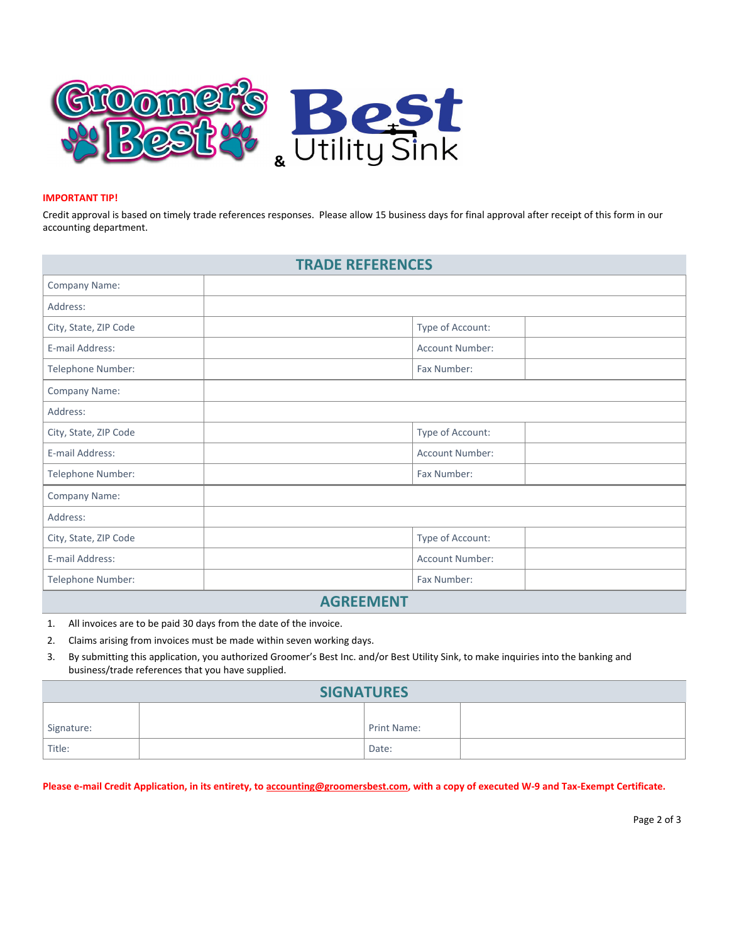

#### **IMPORTANT TIP!**

Credit approval is based on timely trade references responses. Please allow 15 business days for final approval after receipt of this form in our accounting department.

| <b>TRADE REFERENCES</b> |  |                  |  |  |  |  |
|-------------------------|--|------------------|--|--|--|--|
| Company Name:           |  |                  |  |  |  |  |
| Address:                |  |                  |  |  |  |  |
| City, State, ZIP Code   |  | Type of Account: |  |  |  |  |
| E-mail Address:         |  | Account Number:  |  |  |  |  |
| Telephone Number:       |  | Fax Number:      |  |  |  |  |
| Company Name:           |  |                  |  |  |  |  |
| Address:                |  |                  |  |  |  |  |
| City, State, ZIP Code   |  | Type of Account: |  |  |  |  |
| E-mail Address:         |  | Account Number:  |  |  |  |  |
| Telephone Number:       |  | Fax Number:      |  |  |  |  |
| Company Name:           |  |                  |  |  |  |  |
| Address:                |  |                  |  |  |  |  |
| City, State, ZIP Code   |  | Type of Account: |  |  |  |  |
| E-mail Address:         |  | Account Number:  |  |  |  |  |
| Telephone Number:       |  | Fax Number:      |  |  |  |  |
| <b>AGREEMENT</b>        |  |                  |  |  |  |  |

## 1. All invoices are to be paid 30 days from the date of the invoice.

- 2. Claims arising from invoices must be made within seven working days.
- 3. By submitting this application, you authorized Groomer's Best Inc. and/or Best Utility Sink, to make inquiries into the banking and business/trade references that you have supplied.

| <b>SIGNATURES</b> |  |             |  |  |  |  |
|-------------------|--|-------------|--|--|--|--|
| Signature:        |  | Print Name: |  |  |  |  |
| Title:            |  | Date:       |  |  |  |  |

Please e-mail Credit Application, in its entirety, to accounting@groomersbest.com, with a copy of executed W-9 and Tax-Exempt Certificate.